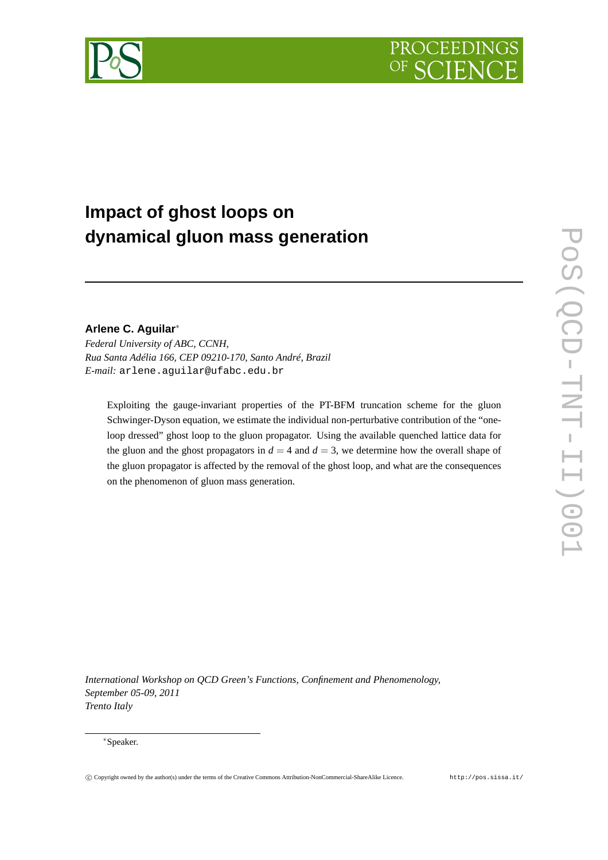



# **Impact of ghost loops on dynamical gluon mass generation**

## **Arlene C. Aguilar**<sup>∗</sup>

*Federal University of ABC, CCNH, Rua Santa Adélia 166, CEP 09210-170, Santo André, Brazil E-mail:* arlene.aguilar@ufabc.edu.br

Exploiting the gauge-invariant properties of the PT-BFM truncation scheme for the gluon Schwinger-Dyson equation, we estimate the individual non-perturbative contribution of the "oneloop dressed" ghost loop to the gluon propagator. Using the available quenched lattice data for the gluon and the ghost propagators in  $d = 4$  and  $d = 3$ , we determine how the overall shape of the gluon propagator is affected by the removal of the ghost loop, and what are the consequences on the phenomenon of gluon mass generation.

*International Workshop on QCD Green's Functions, Confinement and Phenomenology, September 05-09, 2011 Trento Italy*

#### <sup>∗</sup>Speaker.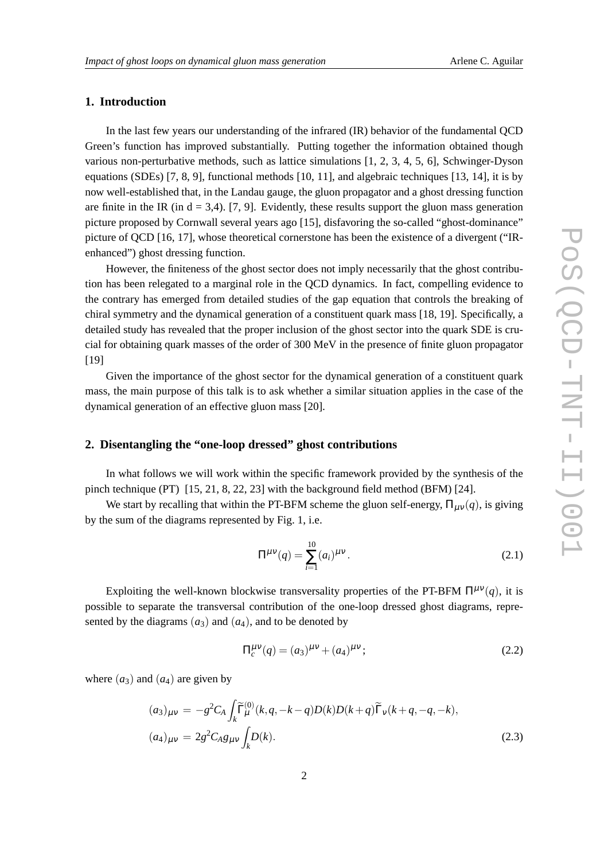## **1. Introduction**

In the last few years our understanding of the infrared (IR) behavior of the fundamental QCD Green's function has improved substantially. Putting together the information obtained though various non-perturbative methods, such as lattice simulations [1, 2, 3, 4, 5, 6], Schwinger-Dyson equations (SDEs) [7, 8, 9], functional methods [10, 11], and algebraic techniques [13, 14], it is by now well-established that, in the Landau gauge, the gluon propagator and a ghost dressing function are finite in the IR (in  $d = 3,4$ ). [7, 9]. Evidently, these results support the gluon mass generation picture proposed by Cornwall several years ago [15], disfavoring the so-called "ghost-dominance" picture of QCD [16, 17], whose theoretical cornerstone has been the existence of a divergent ("IRenhanced") ghost dressing function.

However, the finiteness of the ghost sector does not imply necessarily that the ghost contribution has been relegated to a marginal role in the QCD dynamics. In fact, compelling evidence to the contrary has emerged from detailed studies of the gap equation that controls the breaking of chiral symmetry and the dynamical generation of a constituent quark mass [18, 19]. Specifically, a detailed study has revealed that the proper inclusion of the ghost sector into the quark SDE is crucial for obtaining quark masses of the order of 300 MeV in the presence of finite gluon propagator [19]

Given the importance of the ghost sector for the dynamical generation of a constituent quark mass, the main purpose of this talk is to ask whether a similar situation applies in the case of the dynamical generation of an effective gluon mass [20].

## **2. Disentangling the "one-loop dressed" ghost contributions**

In what follows we will work within the specific framework provided by the synthesis of the pinch technique (PT) [15, 21, 8, 22, 23] with the background field method (BFM) [24].

We start by recalling that within the PT-BFM scheme the gluon self-energy,  $\Pi_{\mu\nu}(q)$ , is giving by the sum of the diagrams represented by Fig. 1, i.e.

$$
\Pi^{\mu\nu}(q) = \sum_{i=1}^{10} (a_i)^{\mu\nu}.
$$
 (2.1)

Exploiting the well-known blockwise transversality properties of the PT-BFM  $\Pi^{\mu\nu}(q)$ , it is possible to separate the transversal contribution of the one-loop dressed ghost diagrams, represented by the diagrams  $(a_3)$  and  $(a_4)$ , and to be denoted by

$$
\Pi_c^{\mu\nu}(q) = (a_3)^{\mu\nu} + (a_4)^{\mu\nu};\tag{2.2}
$$

where  $(a_3)$  and  $(a_4)$  are given by

$$
(a_3)_{\mu\nu} = -g^2 C_A \int_k \widetilde{\Gamma}_{\mu}^{(0)}(k, q, -k - q) D(k) D(k + q) \widetilde{\Gamma}_{\nu}(k + q, -q, -k),
$$
  

$$
(a_4)_{\mu\nu} = 2g^2 C_A g_{\mu\nu} \int_k D(k).
$$
 (2.3)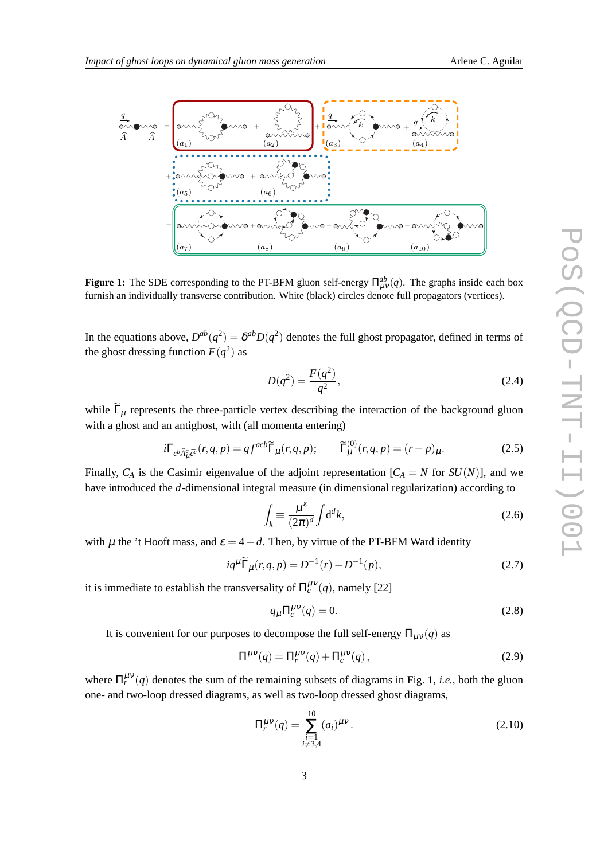

**Figure 1:** The SDE corresponding to the PT-BFM gluon self-energy  $\Pi_{\mu\nu}^{ab}(q)$ . The graphs inside each box furnish an individually transverse contribution. White (black) circles denote full propagators (vertices).

In the equations above,  $D^{ab}(q^2) = \delta^{ab}D(q^2)$  denotes the full ghost propagator, defined in terms of the ghost dressing function  $F(q^2)$  as

$$
D(q^2) = \frac{F(q^2)}{q^2},
$$
\n(2.4)

while  $\widetilde{\Gamma}_{\mu}$  represents the three-particle vertex describing the interaction of the background gluon with a ghost and an antighost, with (all momenta entering)

$$
i\Gamma_{c^b\widehat{A}^a_\mu\bar{c}^c}(r,q,p) = gf^{acb}\widetilde{\Gamma}_\mu(r,q,p); \qquad \widetilde{\Gamma}_\mu^{(0)}(r,q,p) = (r-p)_\mu.
$$
 (2.5)

Finally,  $C_A$  is the Casimir eigenvalue of the adjoint representation  $[C_A = N \text{ for } SU(N)]$ , and we have introduced the *d*-dimensional integral measure (in dimensional regularization) according to

$$
\int_{k} \equiv \frac{\mu^{\varepsilon}}{(2\pi)^{d}} \int d^{d}k,\tag{2.6}
$$

with  $\mu$  the 't Hooft mass, and  $\varepsilon = 4 - d$ . Then, by virtue of the PT-BFM Ward identity

$$
iq^{\mu}\widetilde{\Gamma}_{\mu}(r,q,p) = D^{-1}(r) - D^{-1}(p),
$$
\n(2.7)

it is immediate to establish the transversality of  $\Pi_c^{\mu\nu}(q)$ , namely [22]

$$
q_{\mu} \Pi_{c}^{\mu\nu}(q) = 0. \tag{2.8}
$$

It is convenient for our purposes to decompose the full self-energy  $\Pi_{\mu\nu}(q)$  as

$$
\Pi^{\mu\nu}(q) = \Pi_r^{\mu\nu}(q) + \Pi_c^{\mu\nu}(q),\tag{2.9}
$$

where  $\Pi_r^{\mu\nu}(q)$  denotes the sum of the remaining subsets of diagrams in Fig. 1, *i.e.*, both the gluon one- and two-loop dressed diagrams, as well as two-loop dressed ghost diagrams,

$$
\Pi_r^{\mu\nu}(q) = \sum_{\substack{i=1\\i \neq 3,4}}^{10} (a_i)^{\mu\nu}.
$$
\n(2.10)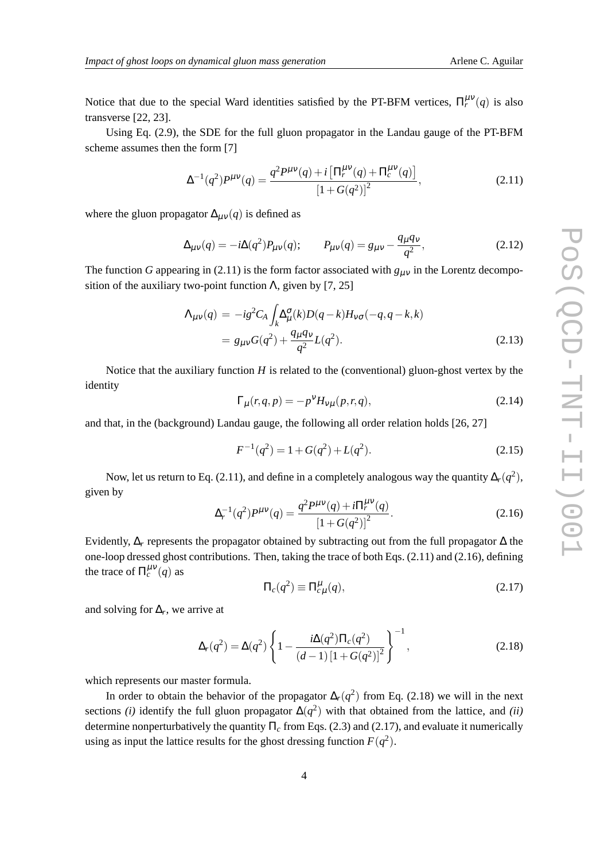Notice that due to the special Ward identities satisfied by the PT-BFM vertices,  $\Pi_r^{\mu\nu}(q)$  is also transverse [22, 23].

Using Eq. (2.9), the SDE for the full gluon propagator in the Landau gauge of the PT-BFM scheme assumes then the form [7]

$$
\Delta^{-1}(q^2)P^{\mu\nu}(q) = \frac{q^2 P^{\mu\nu}(q) + i\left[\Pi_r^{\mu\nu}(q) + \Pi_c^{\mu\nu}(q)\right]}{\left[1 + G(q^2)\right]^2},\tag{2.11}
$$

where the gluon propagator  $\Delta_{\mu\nu}(q)$  is defined as

$$
\Delta_{\mu\nu}(q) = -i\Delta(q^2)P_{\mu\nu}(q); \qquad P_{\mu\nu}(q) = g_{\mu\nu} - \frac{q_{\mu}q_{\nu}}{q^2}, \qquad (2.12)
$$

The function *G* appearing in (2.11) is the form factor associated with  $g_{\mu\nu}$  in the Lorentz decomposition of the auxiliary two-point function  $\Lambda$ , given by [7, 25]

$$
\Lambda_{\mu\nu}(q) = -ig^2 C_A \int_k \Delta_{\mu}^{\sigma}(k) D(q-k) H_{\nu\sigma}(-q, q-k, k) \n= g_{\mu\nu} G(q^2) + \frac{q_{\mu} q_{\nu}}{q^2} L(q^2).
$$
\n(2.13)

Notice that the auxiliary function *H* is related to the (conventional) gluon-ghost vertex by the identity

$$
\Gamma_{\mu}(r,q,p) = -p^{\nu}H_{\nu\mu}(p,r,q),\tag{2.14}
$$

and that, in the (background) Landau gauge, the following all order relation holds [26, 27]

$$
F^{-1}(q^2) = 1 + G(q^2) + L(q^2). \tag{2.15}
$$

Now, let us return to Eq. (2.11), and define in a completely analogous way the quantity  $\Delta_r(q^2),$ given by

$$
\Delta_r^{-1}(q^2)P^{\mu\nu}(q) = \frac{q^2P^{\mu\nu}(q) + i\Pi_r^{\mu\nu}(q)}{\left[1 + G(q^2)\right]^2}.
$$
\n(2.16)

Evidently, ∆*<sup>r</sup>* represents the propagator obtained by subtracting out from the full propagator ∆ the one-loop dressed ghost contributions. Then, taking the trace of both Eqs. (2.11) and (2.16), defining the trace of  $\Pi_c^{\mu\nu}(q)$  as

$$
\Pi_c(q^2) \equiv \Pi_{c\mu}^{\mu}(q),\tag{2.17}
$$

and solving for  $\Delta_r$ , we arrive at

$$
\Delta_r(q^2) = \Delta(q^2) \left\{ 1 - \frac{i\Delta(q^2)\Pi_c(q^2)}{(d-1)\left[1 + G(q^2)\right]^2} \right\}^{-1},\tag{2.18}
$$

which represents our master formula.

In order to obtain the behavior of the propagator  $\Delta_r(q^2)$  from Eq. (2.18) we will in the next sections *(i)* identify the full gluon propagator  $\Delta(q^2)$  with that obtained from the lattice, and *(ii)* determine nonperturbatively the quantity  $\Pi_c$  from Eqs. (2.3) and (2.17), and evaluate it numerically using as input the lattice results for the ghost dressing function  $F(q^2)$ .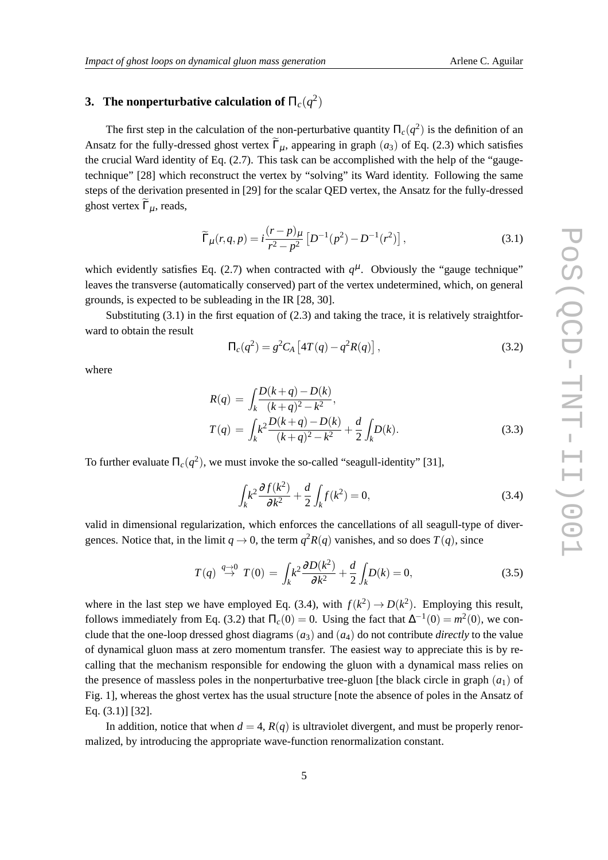## **3.** The nonperturbative calculation of  $\Pi_c(q^2)$

The first step in the calculation of the non-perturbative quantity  $\Pi_c(q^2)$  is the definition of an Ansatz for the fully-dressed ghost vertex  $\tilde{\Gamma}_{\mu}$ , appearing in graph (*a*<sub>3</sub>) of Eq. (2.3) which satisfies the crucial Ward identity of Eq. (2.7). This task can be accomplished with the help of the "gaugetechnique" [28] which reconstruct the vertex by "solving" its Ward identity. Following the same steps of the derivation presented in [29] for the scalar QED vertex, the Ansatz for the fully-dressed ghost vertex  $\Gamma_{\mu}$ , reads,

$$
\widetilde{\Gamma}_{\mu}(r,q,p) = i \frac{(r-p)_{\mu}}{r^2 - p^2} \left[ D^{-1}(p^2) - D^{-1}(r^2) \right],\tag{3.1}
$$

which evidently satisfies Eq. (2.7) when contracted with  $q^{\mu}$ . Obviously the "gauge technique" leaves the transverse (automatically conserved) part of the vertex undetermined, which, on general grounds, is expected to be subleading in the IR [28, 30].

Substituting  $(3.1)$  in the first equation of  $(2.3)$  and taking the trace, it is relatively straightforward to obtain the result

$$
\Pi_c(q^2) = g^2 C_A \left[ 4T(q) - q^2 R(q) \right],\tag{3.2}
$$

where

$$
R(q) = \int_{k} \frac{D(k+q) - D(k)}{(k+q)^2 - k^2},
$$
  
\n
$$
T(q) = \int_{k} k^2 \frac{D(k+q) - D(k)}{(k+q)^2 - k^2} + \frac{d}{2} \int_{k} D(k).
$$
\n(3.3)

To further evaluate  $\Pi_c(q^2)$ , we must invoke the so-called "seagull-identity" [31],

$$
\int_{k} k^{2} \frac{\partial f(k^{2})}{\partial k^{2}} + \frac{d}{2} \int_{k} f(k^{2}) = 0,
$$
\n(3.4)

valid in dimensional regularization, which enforces the cancellations of all seagull-type of divergences. Notice that, in the limit  $q \to 0$ , the term  $q^2R(q)$  vanishes, and so does  $T(q)$ , since

$$
T(q) \stackrel{q \to 0}{\to} T(0) = \int_k k^2 \frac{\partial D(k^2)}{\partial k^2} + \frac{d}{2} \int_k D(k) = 0,\tag{3.5}
$$

where in the last step we have employed Eq. (3.4), with  $f(k^2) \to D(k^2)$ . Employing this result, follows immediately from Eq. (3.2) that  $\Pi_c(0) = 0$ . Using the fact that  $\Delta^{-1}(0) = m^2(0)$ , we conclude that the one-loop dressed ghost diagrams  $(a_3)$  and  $(a_4)$  do not contribute *directly* to the value of dynamical gluon mass at zero momentum transfer. The easiest way to appreciate this is by recalling that the mechanism responsible for endowing the gluon with a dynamical mass relies on the presence of massless poles in the nonperturbative tree-gluon [the black circle in graph  $(a_1)$  of Fig. 1], whereas the ghost vertex has the usual structure [note the absence of poles in the Ansatz of Eq. (3.1)] [32].

In addition, notice that when  $d = 4$ ,  $R(q)$  is ultraviolet divergent, and must be properly renormalized, by introducing the appropriate wave-function renormalization constant.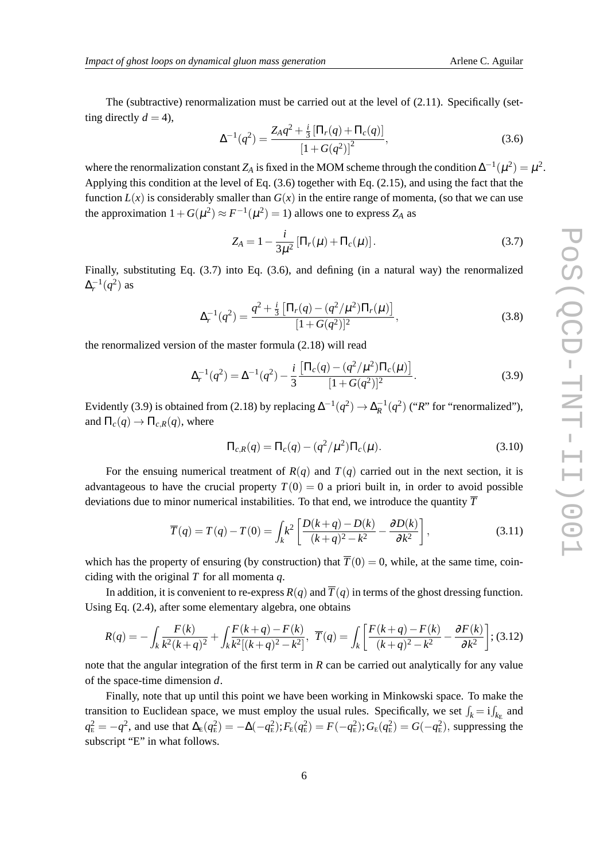The (subtractive) renormalization must be carried out at the level of  $(2.11)$ . Specifically (setting directly  $d = 4$ ),

$$
\Delta^{-1}(q^2) = \frac{Z_A q^2 + \frac{i}{3} \left[\Pi_r(q) + \Pi_c(q)\right]}{\left[1 + G(q^2)\right]^2},\tag{3.6}
$$

where the renormalization constant  $Z_A$  is fixed in the MOM scheme through the condition  $\Delta^{-1}(\mu^2) = \mu^2$ . Applying this condition at the level of Eq. (3.6) together with Eq. (2.15), and using the fact that the function  $L(x)$  is considerably smaller than  $G(x)$  in the entire range of momenta, (so that we can use the approximation  $1 + G(\mu^2) \approx F^{-1}(\mu^2) = 1$ ) allows one to express  $Z_A$  as

$$
Z_A = 1 - \frac{i}{3\mu^2} \left[ \Pi_r(\mu) + \Pi_c(\mu) \right].
$$
 (3.7)

Finally, substituting Eq. (3.7) into Eq. (3.6), and defining (in a natural way) the renormalized  $\Delta_r^{-1}(q^2)$  as

$$
\Delta_r^{-1}(q^2) = \frac{q^2 + \frac{i}{3} \left[ \Pi_r(q) - (q^2/\mu^2) \Pi_r(\mu) \right]}{[1 + G(q^2)]^2},\tag{3.8}
$$

the renormalized version of the master formula (2.18) will read

$$
\Delta_r^{-1}(q^2) = \Delta^{-1}(q^2) - \frac{i}{3} \frac{\left[\Pi_c(q) - (q^2/\mu^2)\Pi_c(\mu)\right]}{[1+G(q^2)]^2}.
$$
\n(3.9)

Evidently (3.9) is obtained from (2.18) by replacing  $\Delta^{-1}(q^2) \to \Delta_R^{-1}(q^2)$  ("*R*" for "renormalized"), and  $\Pi_c(q) \to \Pi_{c,R}(q)$ , where

$$
\Pi_{c,R}(q) = \Pi_c(q) - (q^2/\mu^2)\Pi_c(\mu).
$$
\n(3.10)

For the ensuing numerical treatment of  $R(q)$  and  $T(q)$  carried out in the next section, it is advantageous to have the crucial property  $T(0) = 0$  a priori built in, in order to avoid possible deviations due to minor numerical instabilities. To that end, we introduce the quantity  $\overline{T}$ 

$$
\overline{T}(q) = T(q) - T(0) = \int_{k} k^{2} \left[ \frac{D(k+q) - D(k)}{(k+q)^{2} - k^{2}} - \frac{\partial D(k)}{\partial k^{2}} \right],
$$
\n(3.11)

which has the property of ensuring (by construction) that  $\overline{T}(0) = 0$ , while, at the same time, coinciding with the original *T* for all momenta *q*.

In addition, it is convenient to re-express  $R(q)$  and  $\overline{T}(q)$  in terms of the ghost dressing function. Using Eq. (2.4), after some elementary algebra, one obtains

$$
R(q) = -\int_{k} \frac{F(k)}{k^{2}(k+q)^{2}} + \int_{k} \frac{F(k+q) - F(k)}{k^{2}[(k+q)^{2} - k^{2}]}, \ \ \overline{T}(q) = \int_{k} \left[ \frac{F(k+q) - F(k)}{(k+q)^{2} - k^{2}} - \frac{\partial F(k)}{\partial k^{2}} \right];
$$
(3.12)

note that the angular integration of the first term in *R* can be carried out analytically for any value of the space-time dimension *d*.

Finally, note that up until this point we have been working in Minkowski space. To make the transition to Euclidean space, we must employ the usual rules. Specifically, we set  $\int_k = i \int_{k_E}$  and  $q_{\rm E}^2 = -q^2$ , and use that  $\Delta_{\rm E}(q_{\rm E}^2) = -\Delta(-q_{\rm E}^2); F_{\rm E}(q_{\rm E}^2) = F(-q_{\rm E}^2); G_{\rm E}(q_{\rm E}^2) = G(-q_{\rm E}^2)$ , suppressing the subscript "E" in what follows.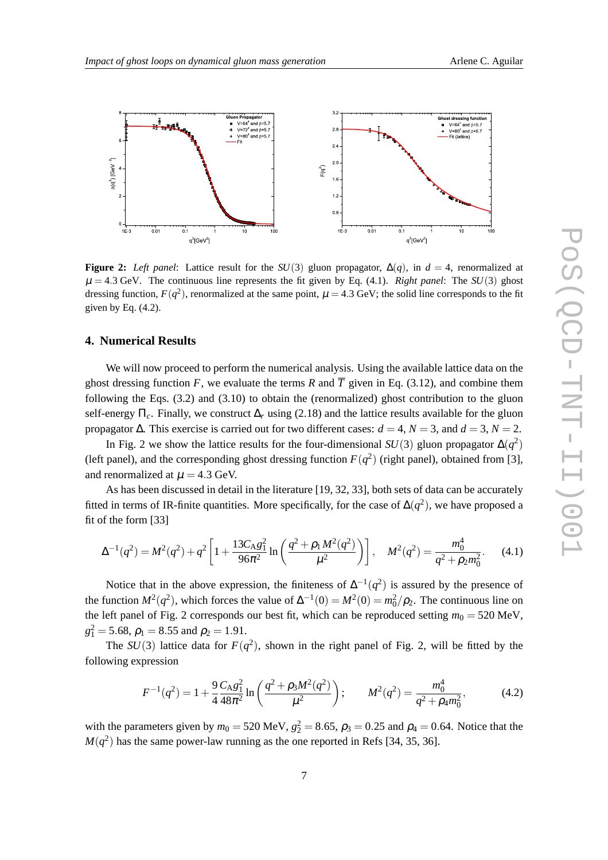

**Figure 2:** *Left panel*: Lattice result for the *SU*(3) gluon propagator,  $\Delta(q)$ , in  $d = 4$ , renormalized at  $\mu = 4.3$  GeV. The continuous line represents the fit given by Eq. (4.1). *Right panel*: The *SU*(3) ghost dressing function,  $F(q^2)$ , renormalized at the same point,  $\mu = 4.3$  GeV; the solid line corresponds to the fit given by Eq.  $(4.2)$ .

## **4. Numerical Results**

We will now proceed to perform the numerical analysis. Using the available lattice data on the ghost dressing function *F*, we evaluate the terms *R* and  $\overline{T}$  given in Eq. (3.12), and combine them following the Eqs. (3.2) and (3.10) to obtain the (renormalized) ghost contribution to the gluon self-energy  $\Pi_c$ . Finally, we construct  $\Delta_r$  using (2.18) and the lattice results available for the gluon propagator  $\Delta$ . This exercise is carried out for two different cases:  $d = 4$ ,  $N = 3$ , and  $d = 3$ ,  $N = 2$ .

In Fig. 2 we show the lattice results for the four-dimensional  $SU(3)$  gluon propagator  $\Delta(q^2)$ (left panel), and the corresponding ghost dressing function  $F(q^2)$  (right panel), obtained from [3], and renormalized at  $\mu = 4.3$  GeV.

As has been discussed in detail in the literature [19, 32, 33], both sets of data can be accurately fitted in terms of IR-finite quantities. More specifically, for the case of  $\Delta(q^2)$ , we have proposed a fit of the form [33]

$$
\Delta^{-1}(q^2) = M^2(q^2) + q^2 \left[ 1 + \frac{13C_A g_1^2}{96\pi^2} \ln\left(\frac{q^2 + \rho_1 M^2(q^2)}{\mu^2}\right) \right], \quad M^2(q^2) = \frac{m_0^4}{q^2 + \rho_2 m_0^2}.\tag{4.1}
$$

Notice that in the above expression, the finiteness of  $\Delta^{-1}(q^2)$  is assured by the presence of the function  $M^2(q^2)$ , which forces the value of  $\Delta^{-1}(0) = M^2(0) = m_0^2/\rho_2$ . The continuous line on the left panel of Fig. 2 corresponds our best fit, which can be reproduced setting  $m_0 = 520$  MeV,  $g_1^2 = 5.68, \rho_1 = 8.55$  and  $\rho_2 = 1.91$ .

The  $SU(3)$  lattice data for  $F(q^2)$ , shown in the right panel of Fig. 2, will be fitted by the following expression

$$
F^{-1}(q^2) = 1 + \frac{9}{4} \frac{C_A g_1^2}{48\pi^2} \ln\left(\frac{q^2 + \rho_3 M^2(q^2)}{\mu^2}\right); \qquad M^2(q^2) = \frac{m_0^4}{q^2 + \rho_4 m_0^2},\tag{4.2}
$$

with the parameters given by  $m_0 = 520 \text{ MeV}$ ,  $g_2^2 = 8.65$ ,  $\rho_3 = 0.25$  and  $\rho_4 = 0.64$ . Notice that the  $M(q^2)$  has the same power-law running as the one reported in Refs [34, 35, 36].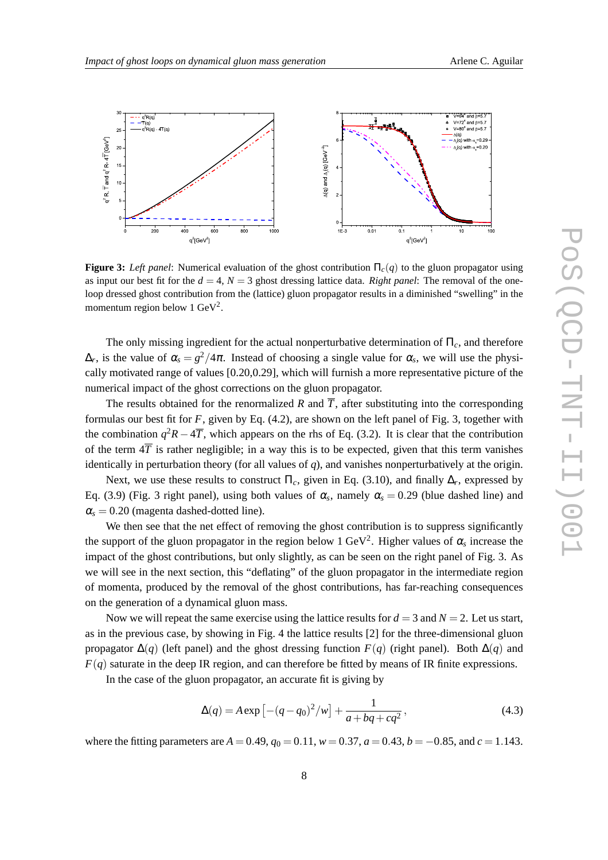

**Figure 3:** *Left panel*: Numerical evaluation of the ghost contribution  $\Pi_c(q)$  to the gluon propagator using as input our best fit for the  $d = 4$ ,  $N = 3$  ghost dressing lattice data. *Right panel*: The removal of the oneloop dressed ghost contribution from the (lattice) gluon propagator results in a diminished "swelling" in the momentum region below 1  $\text{GeV}^2$ .

The only missing ingredient for the actual nonperturbative determination of Π*c*, and therefore  $\Delta_r$ , is the value of  $\alpha_s = g^2/4\pi$ . Instead of choosing a single value for  $\alpha_s$ , we will use the physically motivated range of values [0.20,0.29], which will furnish a more representative picture of the numerical impact of the ghost corrections on the gluon propagator.

The results obtained for the renormalized *R* and  $\overline{T}$ , after substituting into the corresponding formulas our best fit for *F*, given by Eq. (4.2), are shown on the left panel of Fig. 3, together with the combination  $q^2R - 4\overline{T}$ , which appears on the rhs of Eq. (3.2). It is clear that the contribution of the term  $4\overline{T}$  is rather negligible; in a way this is to be expected, given that this term vanishes identically in perturbation theory (for all values of *q*), and vanishes nonperturbatively at the origin.

Next, we use these results to construct  $\Pi_c$ , given in Eq. (3.10), and finally  $\Delta_r$ , expressed by Eq. (3.9) (Fig. 3 right panel), using both values of  $\alpha_s$ , namely  $\alpha_s = 0.29$  (blue dashed line) and  $\alpha_s = 0.20$  (magenta dashed-dotted line).

We then see that the net effect of removing the ghost contribution is to suppress significantly the support of the gluon propagator in the region below 1 GeV<sup>2</sup>. Higher values of  $\alpha_s$  increase the impact of the ghost contributions, but only slightly, as can be seen on the right panel of Fig. 3. As we will see in the next section, this "deflating" of the gluon propagator in the intermediate region of momenta, produced by the removal of the ghost contributions, has far-reaching consequences on the generation of a dynamical gluon mass.

Now we will repeat the same exercise using the lattice results for  $d = 3$  and  $N = 2$ . Let us start, as in the previous case, by showing in Fig. 4 the lattice results [2] for the three-dimensional gluon propagator  $\Delta(q)$  (left panel) and the ghost dressing function  $F(q)$  (right panel). Both  $\Delta(q)$  and  $F(q)$  saturate in the deep IR region, and can therefore be fitted by means of IR finite expressions.

In the case of the gluon propagator, an accurate fit is giving by

$$
\Delta(q) = A \exp \left[ -(q - q_0)^2 / w \right] + \frac{1}{a + bq + cq^2},\tag{4.3}
$$

where the fitting parameters are  $A = 0.49$ ,  $q_0 = 0.11$ ,  $w = 0.37$ ,  $a = 0.43$ ,  $b = -0.85$ , and  $c = 1.143$ .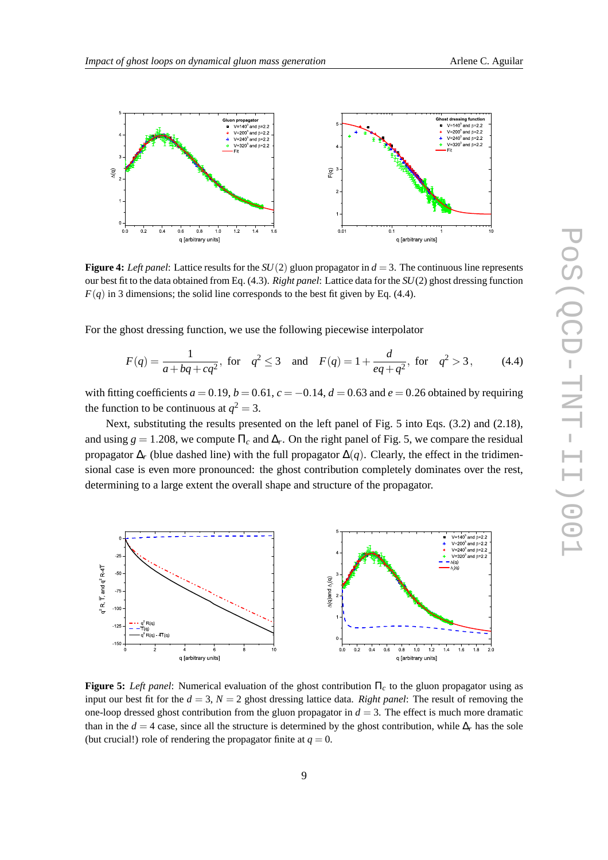

**Figure 4:** *Left panel*: Lattice results for the  $SU(2)$  gluon propagator in  $d = 3$ . The continuous line represents our best fit to the data obtained from Eq. (4.3). *Right panel*: Lattice data for the *SU*(2) ghost dressing function  $F(q)$  in 3 dimensions; the solid line corresponds to the best fit given by Eq. (4.4).

For the ghost dressing function, we use the following piecewise interpolator

$$
F(q) = \frac{1}{a + bq + cq^2}, \text{ for } q^2 \le 3 \quad \text{and} \quad F(q) = 1 + \frac{d}{eq + q^2}, \text{ for } q^2 > 3,
$$
 (4.4)

with fitting coefficients  $a = 0.19$ ,  $b = 0.61$ ,  $c = -0.14$ ,  $d = 0.63$  and  $e = 0.26$  obtained by requiring the function to be continuous at  $q^2 = 3$ .

Next, substituting the results presented on the left panel of Fig. 5 into Eqs. (3.2) and (2.18), and using  $g = 1.208$ , we compute  $\Pi_c$  and  $\Delta_r$ . On the right panel of Fig. 5, we compare the residual propagator ∆*<sup>r</sup>* (blue dashed line) with the full propagator ∆(*q*). Clearly, the effect in the tridimensional case is even more pronounced: the ghost contribution completely dominates over the rest, determining to a large extent the overall shape and structure of the propagator.



**Figure 5:** *Left panel*: Numerical evaluation of the ghost contribution Π*<sup>c</sup>* to the gluon propagator using as input our best fit for the  $d = 3$ ,  $N = 2$  ghost dressing lattice data. *Right panel*: The result of removing the one-loop dressed ghost contribution from the gluon propagator in  $d = 3$ . The effect is much more dramatic than in the *d* = 4 case, since all the structure is determined by the ghost contribution, while  $\Delta_r$  has the sole (but crucial!) role of rendering the propagator finite at  $q = 0$ .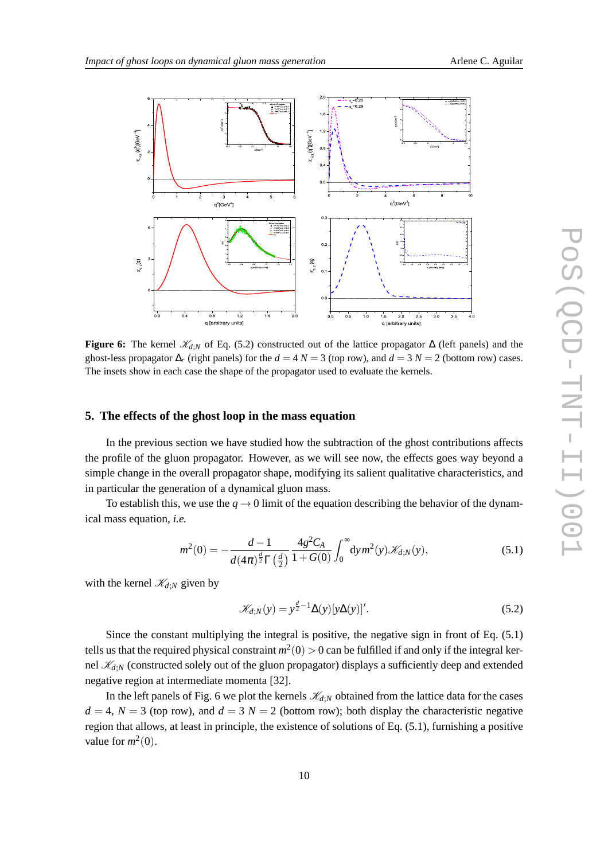

**Figure 6:** The kernel  $\mathcal{K}_{d:N}$  of Eq. (5.2) constructed out of the lattice propagator  $\Delta$  (left panels) and the ghost-less propagator  $\Delta_r$  (right panels) for the  $d = 4 N = 3$  (top row), and  $d = 3 N = 2$  (bottom row) cases. The insets show in each case the shape of the propagator used to evaluate the kernels.

#### **5. The effects of the ghost loop in the mass equation**

In the previous section we have studied how the subtraction of the ghost contributions affects the profile of the gluon propagator. However, as we will see now, the effects goes way beyond a simple change in the overall propagator shape, modifying its salient qualitative characteristics, and in particular the generation of a dynamical gluon mass.

To establish this, we use the  $q \rightarrow 0$  limit of the equation describing the behavior of the dynamical mass equation, *i.e.*

$$
m^{2}(0) = -\frac{d-1}{d(4\pi)^{\frac{d}{2}}\Gamma(\frac{d}{2})}\frac{4g^{2}C_{A}}{1+G(0)}\int_{0}^{\infty} dy m^{2}(y)\mathscr{K}_{d;N}(y), \qquad (5.1)
$$

with the kernel  $\mathcal{K}_{d;N}$  given by

$$
\mathcal{K}_{d;N}(y) = y^{\frac{d}{2}-1} \Delta(y) [y\Delta(y)]'.\tag{5.2}
$$

Since the constant multiplying the integral is positive, the negative sign in front of Eq. (5.1) tells us that the required physical constraint  $m^2(0) > 0$  can be fulfilled if and only if the integral kernel  $\mathcal{K}_{d:N}$  (constructed solely out of the gluon propagator) displays a sufficiently deep and extended negative region at intermediate momenta [32].

In the left panels of Fig. 6 we plot the kernels  $\mathcal{K}_{d;N}$  obtained from the lattice data for the cases  $d = 4$ ,  $N = 3$  (top row), and  $d = 3$   $N = 2$  (bottom row); both display the characteristic negative region that allows, at least in principle, the existence of solutions of Eq. (5.1), furnishing a positive value for  $m^2(0)$ .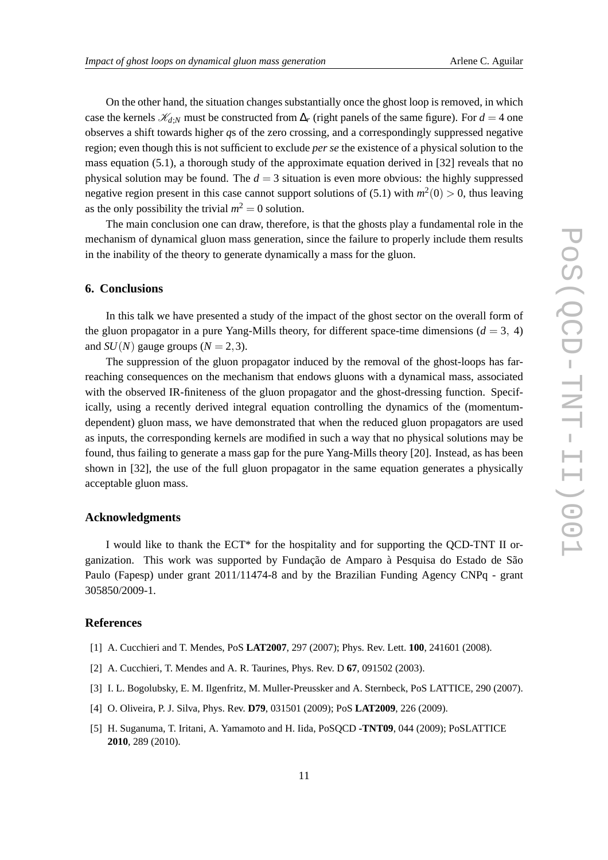On the other hand, the situation changes substantially once the ghost loop is removed, in which case the kernels  $\mathcal{K}_{d,N}$  must be constructed from  $\Delta_r$  (right panels of the same figure). For  $d = 4$  one observes a shift towards higher *q*s of the zero crossing, and a correspondingly suppressed negative region; even though this is not sufficient to exclude *per se* the existence of a physical solution to the mass equation  $(5.1)$ , a thorough study of the approximate equation derived in  $[32]$  reveals that no physical solution may be found. The  $d = 3$  situation is even more obvious: the highly suppressed negative region present in this case cannot support solutions of (5.1) with  $m^2(0) > 0$ , thus leaving as the only possibility the trivial  $m^2 = 0$  solution.

The main conclusion one can draw, therefore, is that the ghosts play a fundamental role in the mechanism of dynamical gluon mass generation, since the failure to properly include them results in the inability of the theory to generate dynamically a mass for the gluon.

### **6. Conclusions**

In this talk we have presented a study of the impact of the ghost sector on the overall form of the gluon propagator in a pure Yang-Mills theory, for different space-time dimensions ( $d = 3$ , 4) and *SU*(*N*) gauge groups ( $N = 2, 3$ ).

The suppression of the gluon propagator induced by the removal of the ghost-loops has farreaching consequences on the mechanism that endows gluons with a dynamical mass, associated with the observed IR-finiteness of the gluon propagator and the ghost-dressing function. Specifically, using a recently derived integral equation controlling the dynamics of the (momentumdependent) gluon mass, we have demonstrated that when the reduced gluon propagators are used as inputs, the corresponding kernels are modified in such a way that no physical solutions may be found, thus failing to generate a mass gap for the pure Yang-Mills theory [20]. Instead, as has been shown in [32], the use of the full gluon propagator in the same equation generates a physically acceptable gluon mass.

#### **Acknowledgments**

I would like to thank the ECT\* for the hospitality and for supporting the QCD-TNT II organization. This work was supported by Fundação de Amparo à Pesquisa do Estado de São Paulo (Fapesp) under grant 2011/11474-8 and by the Brazilian Funding Agency CNPq - grant 305850/2009-1.

#### **References**

- [1] A. Cucchieri and T. Mendes, PoS **LAT2007**, 297 (2007); Phys. Rev. Lett. **100**, 241601 (2008).
- [2] A. Cucchieri, T. Mendes and A. R. Taurines, Phys. Rev. D **67**, 091502 (2003).
- [3] I. L. Bogolubsky, E. M. Ilgenfritz, M. Muller-Preussker and A. Sternbeck, PoS LATTICE, 290 (2007).
- [4] O. Oliveira, P. J. Silva, Phys. Rev. **D79**, 031501 (2009); PoS **LAT2009**, 226 (2009).
- [5] H. Suganuma, T. Iritani, A. Yamamoto and H. Iida, PoSQCD **-TNT09**, 044 (2009); PoSLATTICE **2010**, 289 (2010).